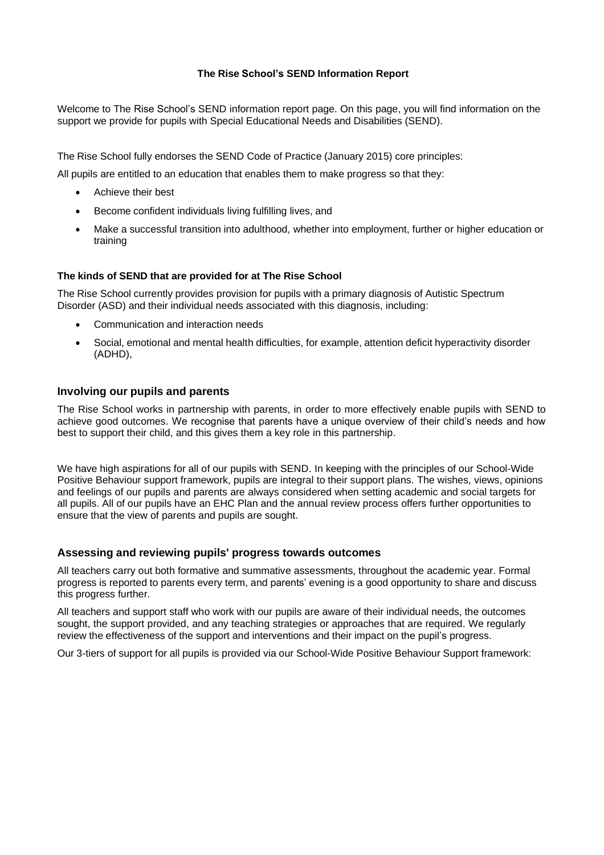#### **The Rise School's SEND Information Report**

Welcome to The Rise School's SEND information report page. On this page, you will find information on the support we provide for pupils with Special Educational Needs and Disabilities (SEND).

The Rise School fully endorses the SEND Code of Practice (January 2015) core principles:

All pupils are entitled to an education that enables them to make progress so that they:

- Achieve their best
- Become confident individuals living fulfilling lives, and
- Make a successful transition into adulthood, whether into employment, further or higher education or training

#### **The kinds of SEND that are provided for at The Rise School**

The Rise School currently provides provision for pupils with a primary diagnosis of Autistic Spectrum Disorder (ASD) and their individual needs associated with this diagnosis, including:

- Communication and interaction needs
- Social, emotional and mental health difficulties, for example, attention deficit hyperactivity disorder (ADHD),

#### **Involving our pupils and parents**

The Rise School works in partnership with parents, in order to more effectively enable pupils with SEND to achieve good outcomes. We recognise that parents have a unique overview of their child's needs and how best to support their child, and this gives them a key role in this partnership.

We have high aspirations for all of our pupils with SEND. In keeping with the principles of our School-Wide Positive Behaviour support framework, pupils are integral to their support plans. The wishes, views, opinions and feelings of our pupils and parents are always considered when setting academic and social targets for all pupils. All of our pupils have an EHC Plan and the annual review process offers further opportunities to ensure that the view of parents and pupils are sought.

#### **Assessing and reviewing pupils' progress towards outcomes**

All teachers carry out both formative and summative assessments, throughout the academic year. Formal progress is reported to parents every term, and parents' evening is a good opportunity to share and discuss this progress further.

All teachers and support staff who work with our pupils are aware of their individual needs, the outcomes sought, the support provided, and any teaching strategies or approaches that are required. We regularly review the effectiveness of the support and interventions and their impact on the pupil's progress.

Our 3-tiers of support for all pupils is provided via our School-Wide Positive Behaviour Support framework: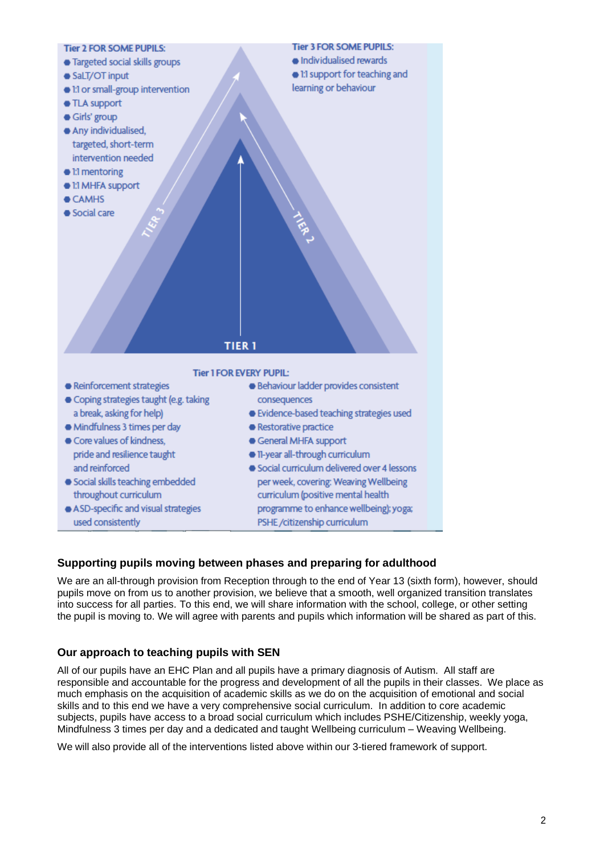

# **Supporting pupils moving between phases and preparing for adulthood**

We are an all-through provision from Reception through to the end of Year 13 (sixth form), however, should pupils move on from us to another provision, we believe that a smooth, well organized transition translates into success for all parties. To this end, we will share information with the school, college, or other setting the pupil is moving to. We will agree with parents and pupils which information will be shared as part of this.

## **Our approach to teaching pupils with SEN**

All of our pupils have an EHC Plan and all pupils have a primary diagnosis of Autism. All staff are responsible and accountable for the progress and development of all the pupils in their classes. We place as much emphasis on the acquisition of academic skills as we do on the acquisition of emotional and social skills and to this end we have a very comprehensive social curriculum. In addition to core academic subjects, pupils have access to a broad social curriculum which includes PSHE/Citizenship, weekly yoga, Mindfulness 3 times per day and a dedicated and taught Wellbeing curriculum – Weaving Wellbeing.

We will also provide all of the interventions listed above within our 3-tiered framework of support.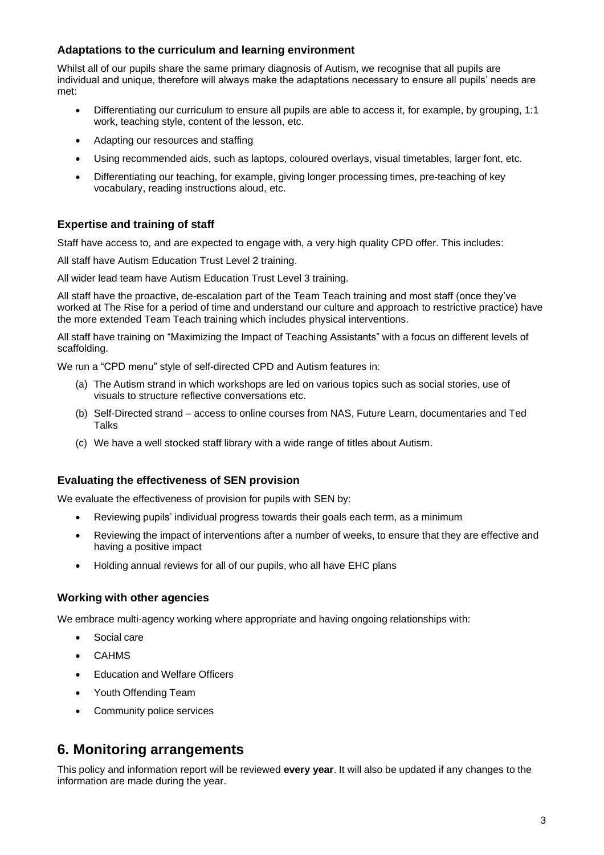## **Adaptations to the curriculum and learning environment**

Whilst all of our pupils share the same primary diagnosis of Autism, we recognise that all pupils are individual and unique, therefore will always make the adaptations necessary to ensure all pupils' needs are met:

- Differentiating our curriculum to ensure all pupils are able to access it, for example, by grouping, 1:1 work, teaching style, content of the lesson, etc.
- Adapting our resources and staffing
- Using recommended aids, such as laptops, coloured overlays, visual timetables, larger font, etc.
- Differentiating our teaching, for example, giving longer processing times, pre-teaching of key vocabulary, reading instructions aloud, etc.

## **Expertise and training of staff**

Staff have access to, and are expected to engage with, a very high quality CPD offer. This includes:

All staff have Autism Education Trust Level 2 training.

All wider lead team have Autism Education Trust Level 3 training.

All staff have the proactive, de-escalation part of the Team Teach training and most staff (once they've worked at The Rise for a period of time and understand our culture and approach to restrictive practice) have the more extended Team Teach training which includes physical interventions.

All staff have training on "Maximizing the Impact of Teaching Assistants" with a focus on different levels of scaffolding.

We run a "CPD menu" style of self-directed CPD and Autism features in:

- (a) The Autism strand in which workshops are led on various topics such as social stories, use of visuals to structure reflective conversations etc.
- (b) Self-Directed strand access to online courses from NAS, Future Learn, documentaries and Ted **Talks**
- (c) We have a well stocked staff library with a wide range of titles about Autism.

#### **Evaluating the effectiveness of SEN provision**

We evaluate the effectiveness of provision for pupils with SEN by:

- Reviewing pupils' individual progress towards their goals each term, as a minimum
- Reviewing the impact of interventions after a number of weeks, to ensure that they are effective and having a positive impact
- Holding annual reviews for all of our pupils, who all have EHC plans

## **Working with other agencies**

We embrace multi-agency working where appropriate and having ongoing relationships with:

- Social care
- CAHMS
- Education and Welfare Officers
- Youth Offending Team
- Community police services

# **6. Monitoring arrangements**

This policy and information report will be reviewed **every year**. It will also be updated if any changes to the information are made during the year.